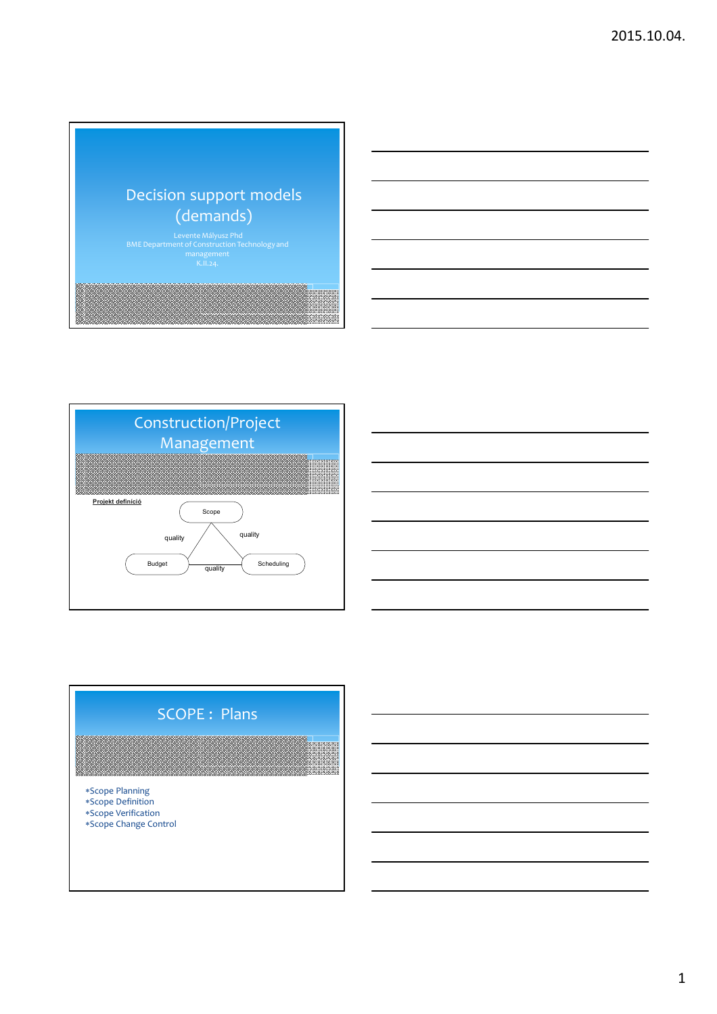





1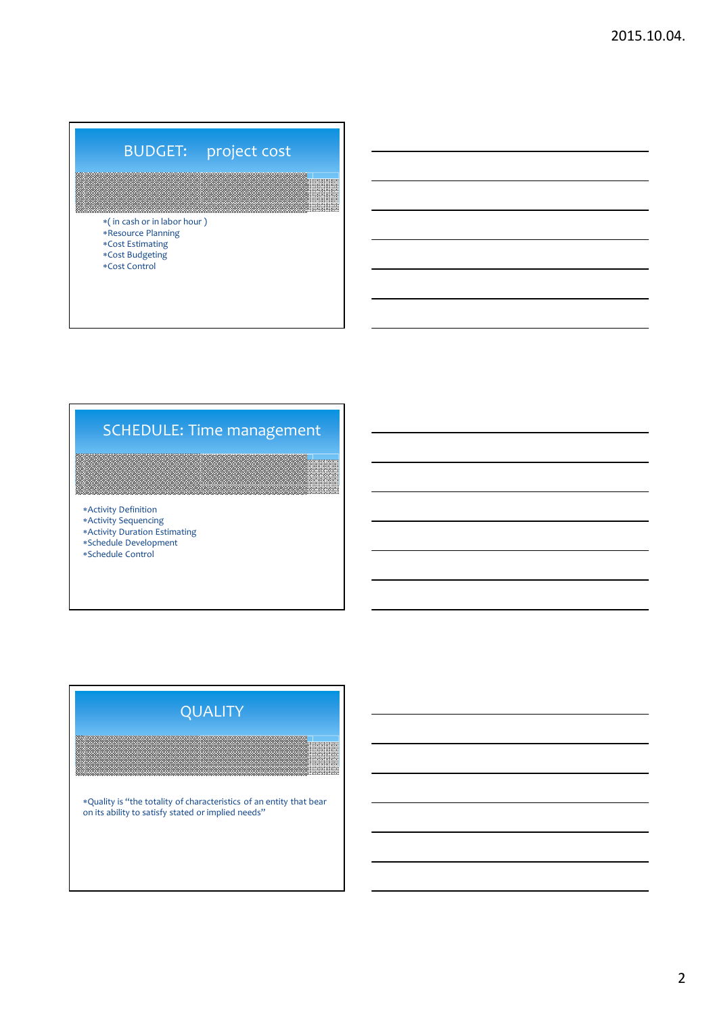# BUDGET: project cost

( in cash or in labor hour ) Resource Planning Cost Estimating Cost Budgeting  $*Cost$  Control

# SCHEDULE: Time management

Activity Definition

- Activity Sequencing Activity Duration Estimating
- Schedule Development
- Schedule Control

# Quality is "the totality of characteristics of an entity that bear on its ability to satisfy stated or implied needs" QUALITY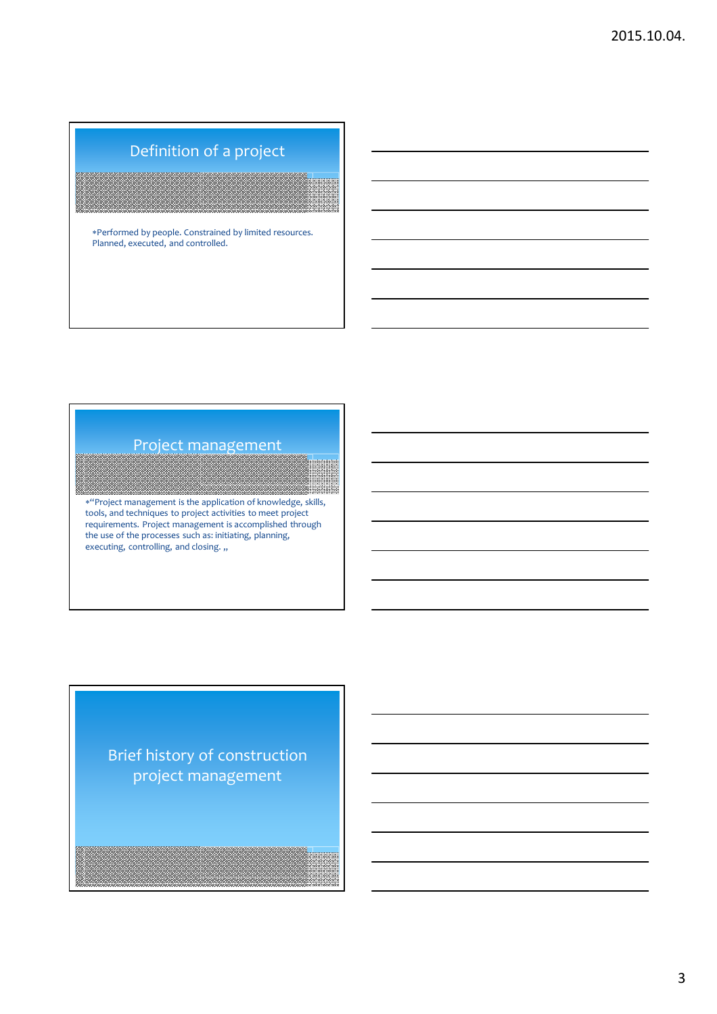# Definition of a project

Performed by people. Constrained by limited resources. Planned, executed, and controlled.

#### Project management

"Project management is the application of knowledge, skills, tools, and techniques to project activities to meet project requirements. Project management is accomplished through the use of the processes such as: initiating, planning, executing, controlling, and closing.  $\cdot$ ,

Brief history of construction project management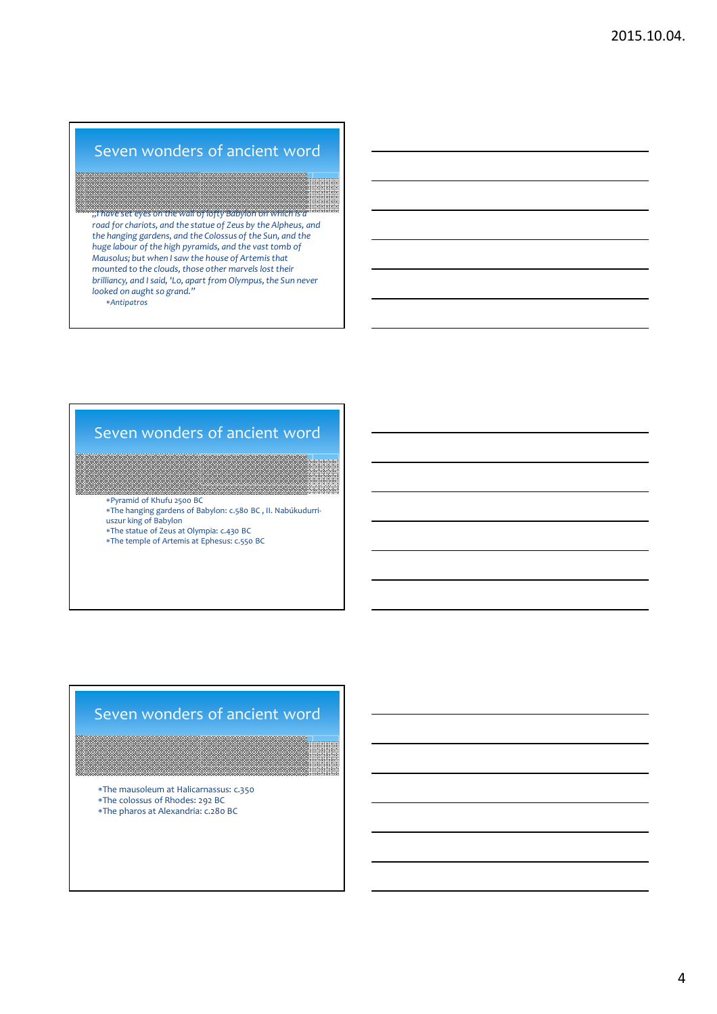### Seven wonders of ancient word

*"I have set eyes on the wall of lofty Babylon on which is a road for chariots, and the statue of Zeus by the Alpheus, and the hanging gardens, and the Colossus of the Sun, and the huge labour of the high pyramids, and the vast tomb of Mausolus; but when I saw the house of Artemis that mounted to the clouds, those other marvels lost their brilliancy, and I said, 'Lo, apart from Olympus, the Sun never looked on aught so grand." Antipatros*

## Seven wonders of ancient word

Pyramid of Khufu 2500 BC

The hanging gardens of Babylon: c.580 BC , II. Nabúkudurriuszur king of Babylon

The statue of Zeus at Olympia: c.430 BC

The temple of Artemis at Ephesus: c.550 BC

#### Seven wonders of ancient word

The mausoleum at Halicarnassus: c.350 The colossus of Rhodes: 292 BC

The pharos at Alexandria: c.280 BC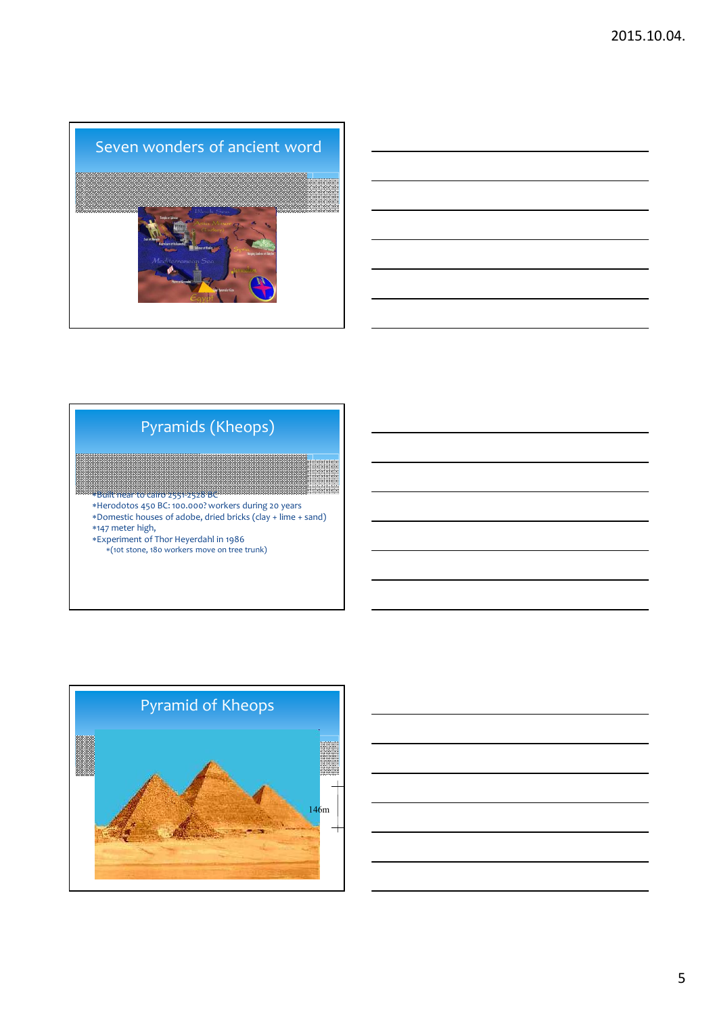



# Pyramids (Kheops)

- Built near to cairo 2551-2528 BC Herodotos 450 BC: 100.000? workers during 20 years Domestic houses of adobe, dried bricks (clay + lime + sand) 147 meter high,
- 
- Experiment of Thor Heyerdahl in 1986 (10t stone, 180 workers move on tree trunk)



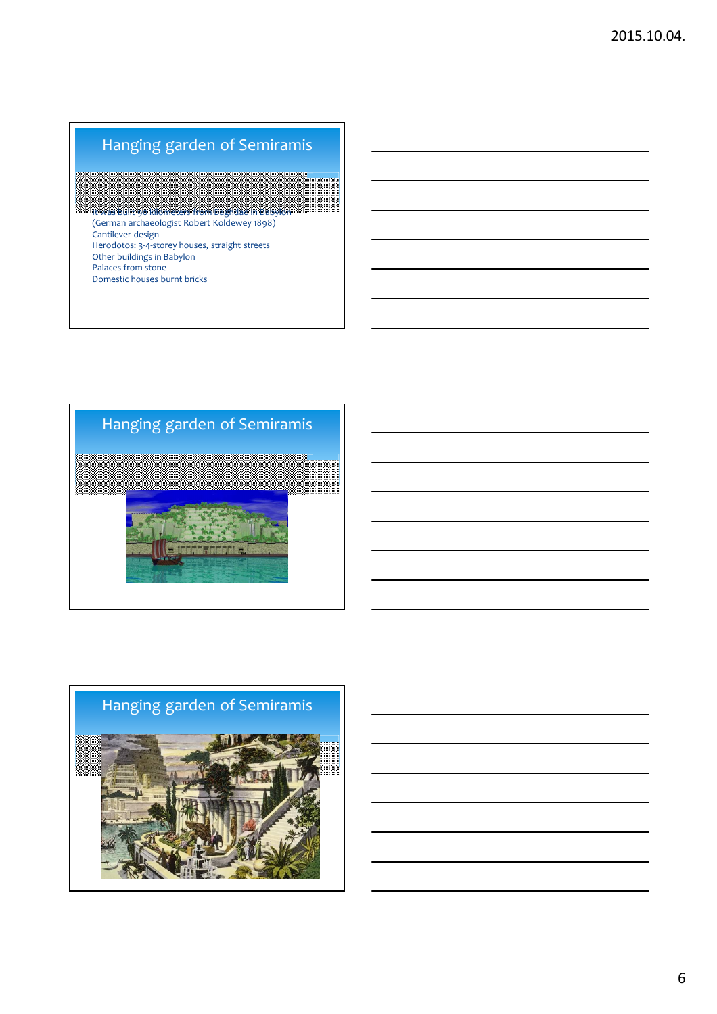# Hanging garden of Semiramis

XXXXXXXXXXXXXX It was built 90 kilometers from Baghdad in Babylon (German archaeologist Robert Koldewey 1898) Cantilever design Herodotos: 3-4-storey houses, straight streets Other buildings in Babylon Palaces from stone Domestic houses burnt bricks



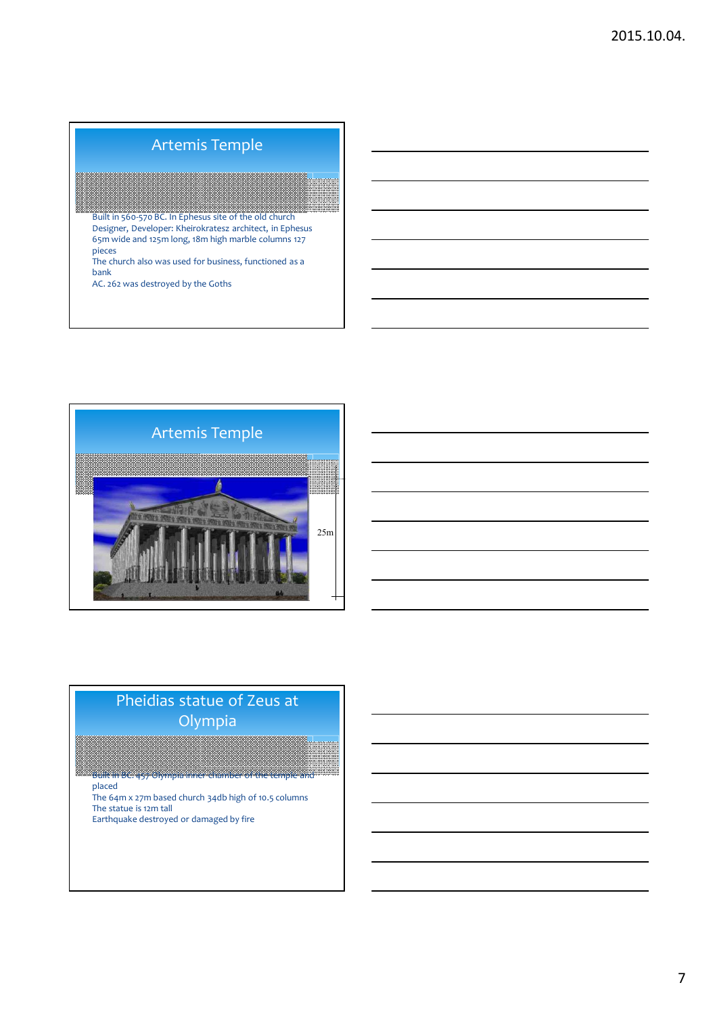# Artemis Temple

Xarana Built in 560-570 BC. In Ephesus site of the old church Designer, Developer: Kheirokratesz architect, in Ephesus 65m wide and 125m long, 18m high marble columns 127 pieces The church also was used for business, functioned as a bank

AC. 262 was destroyed by the Goths



# Pheidias statue of Zeus at Olympia

Built in BC. 457 Olympia inner chamber of the temple and placed

The 64m x 27m based church 34db high of 10.5 columns The statue is 12m tall Earthquake destroyed or damaged by fire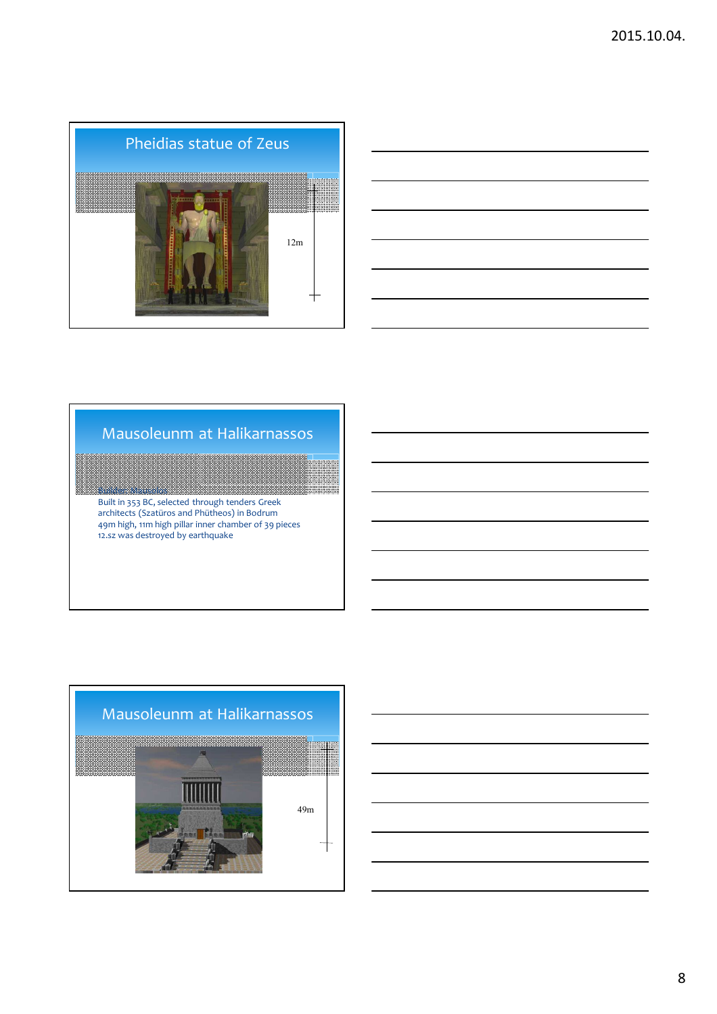



# Mausoleunm at Halikarnassos

Builder: Mausolos Built in 353 BC, selected through tenders Greek architects (Szatüros and Phütheos) in Bodrum 49m high, 11m high pillar inner chamber of 39 pieces 12.sz was destroyed by earthquake



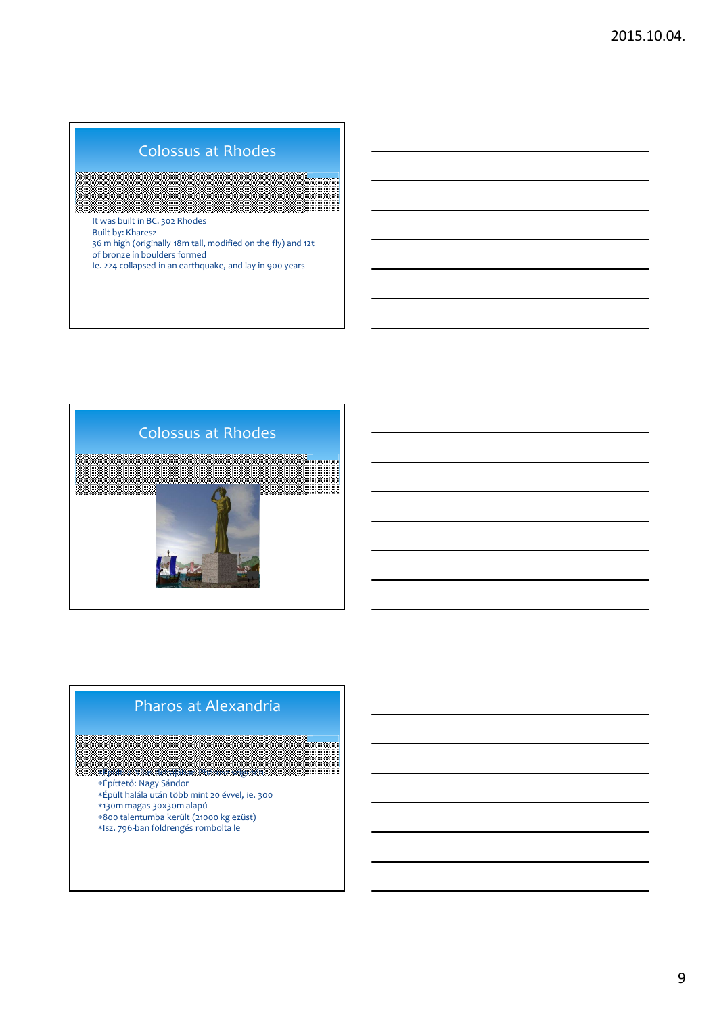# Colossus at Rhodes

It was built in BC. 302 Rhodes Built by: Kharesz 36 m high (originally 18m tall, modified on the fly) and 12t of bronze in boulders formed Ie. 224 collapsed in an earthquake, and lay in 900 years



### Pharos at Alexandria

Épült: a Nílus deltájában Phárosz szigetén

- Építtető: Nagy Sándor
- Épült halála után több mint 20 évvel, ie. 300
- 130m magas 30x30m alapú
- 800 talentumba került (21000 kg ezüst)
- Isz. 796-ban földrengés rombolta le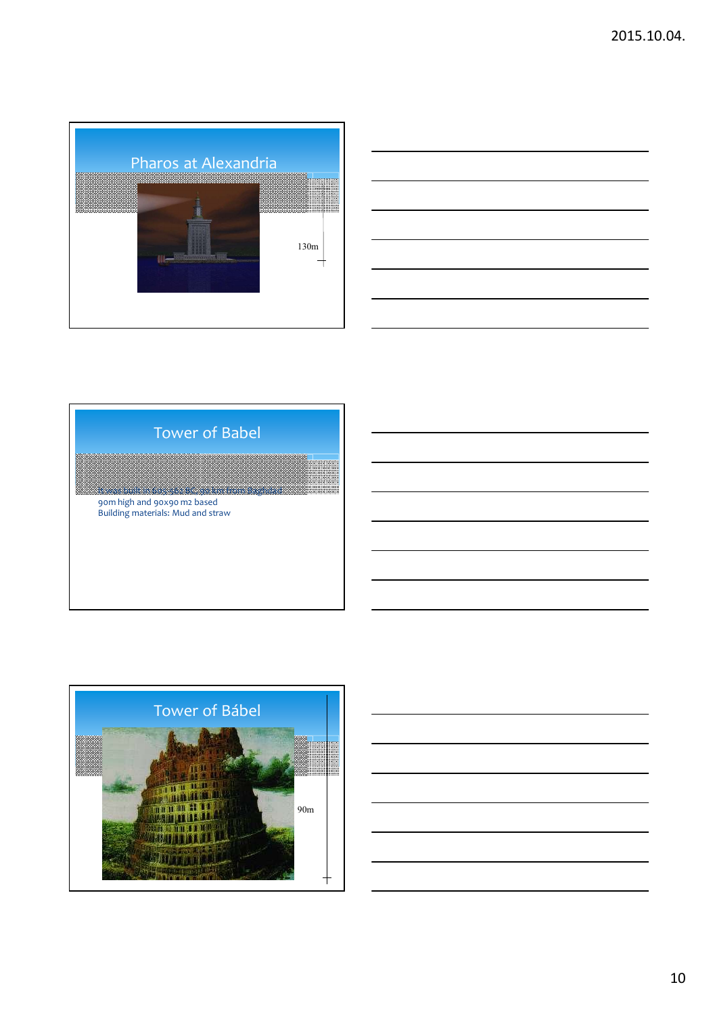



# It was built in 605-562 BC, 90 km from Baghdad 90m high and 90x90 m2 based Building materials: Mud and straw Tower of Babel



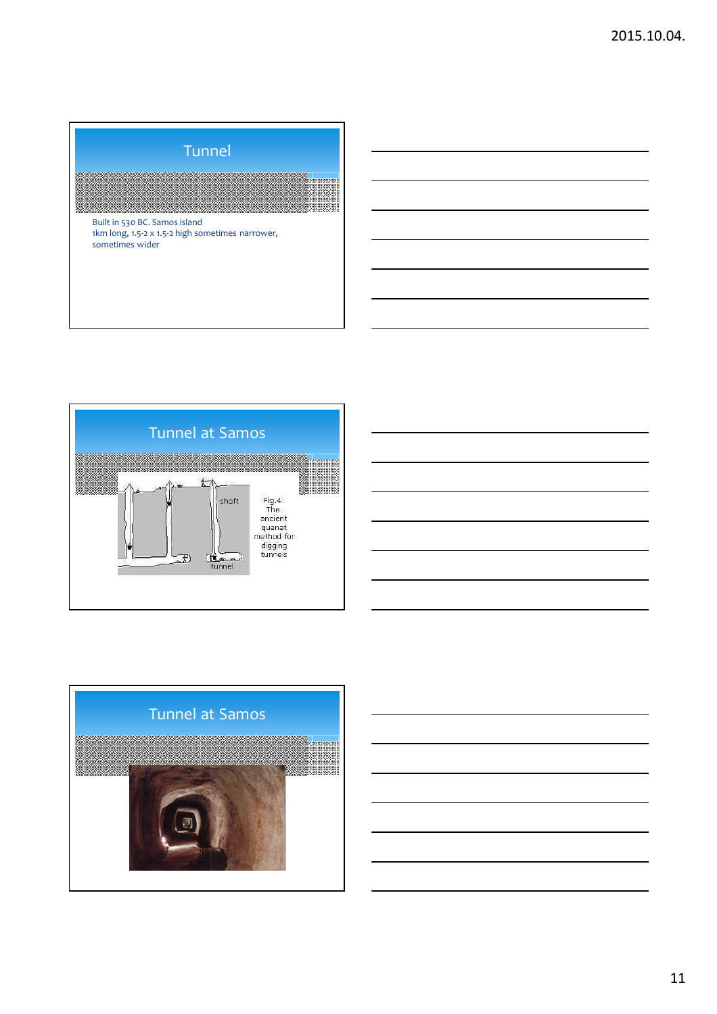|                 | Built in 530 BC. Samos island | <b>Tunnel</b> |                                                  |  |
|-----------------|-------------------------------|---------------|--------------------------------------------------|--|
| sometimes wider |                               |               | 1km long, 1.5-2 x 1.5-2 high sometimes narrower, |  |



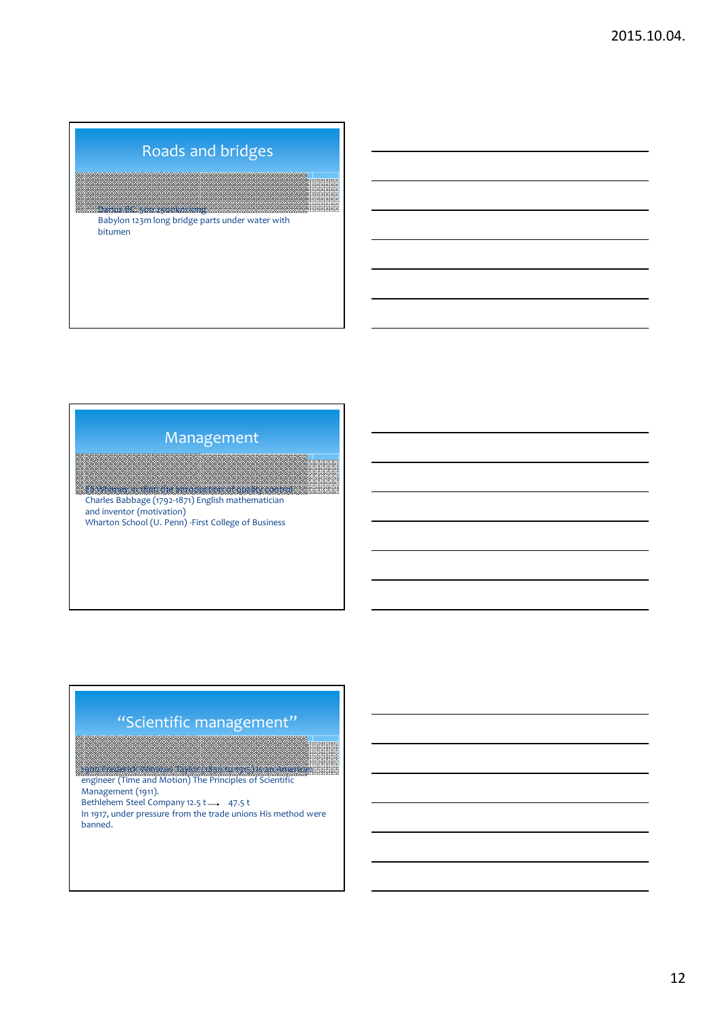# Roads and bridges

Darius BC. 500 2500km long Babylon 123m long bridge parts under water with bitumen

#### Management

Eli Whitney in 1800 the introduction of quality control Charles Babbage (1792-1871) English mathematician and inventor (motivation) Wharton School (U. Penn) -First College of Business

# "Scientific management"

1900 Frederick Winslow Taylor (1856 to 1915) is an American

engineer (Time and Motion) The Principles of Scientific Management (1911).

Bethlehem Steel Company 12.5 t  $\longrightarrow$  47.5 t

In 1917, under pressure from the trade unions His method were banned.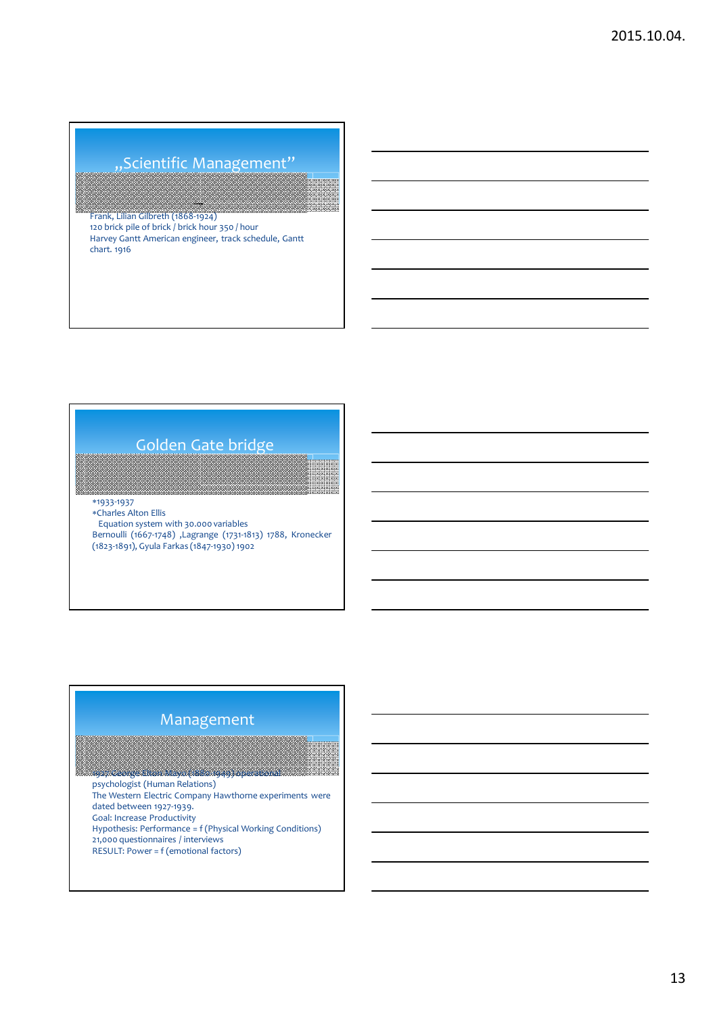# "Scientific Management"

Frank, Lilian Gilbreth (1868-1924) 120 brick pile of brick / brick hour 350 / hour Harvey Gantt American engineer, track schedule, Gantt chart. 1916

# Golden Gate bridge

1933-1937

Charles Alton Ellis Equation system with 30.000 variables Bernoulli (1667-1748) ,Lagrange (1731-1813) 1788, Kronecker (1823-1891), Gyula Farkas (1847-1930) 1902

#### Management

1927 George Elton Mayo (1880-1949) operational psychologist (Human Relations) The Western Electric Company Hawthorne experiments were dated between 1927-1939. Goal: Increase Productivity Hypothesis: Performance = f (Physical Working Conditions) 21,000 questionnaires / interviews RESULT: Power = f (emotional factors)